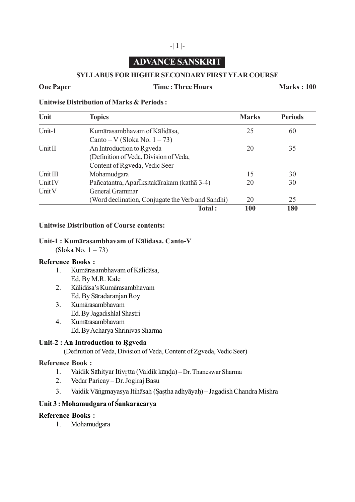# **ADVANCE SANSKRIT**

-| 1 |-

## **SYLLABUS FOR HIGHER SECONDARY FIRST YEAR COURSE**

### **One Paper Time : Three Hours Marks : 100**

#### **Unitwise Distribution of Marks & Periods :**

| Unit     | <b>Topics</b>                                     | <b>Marks</b> | <b>Periods</b> |
|----------|---------------------------------------------------|--------------|----------------|
| Unit-1   | Kumārasambhavam of Kālidāsa,                      | 25           | 60             |
|          | Canto – V (Sloka No. $1 - 73$ )                   |              |                |
| Unit II  | An Introduction to Rgveda                         | 20           | 35             |
|          | (Definition of Veda, Division of Veda,            |              |                |
|          | Content of Rgveda, Vedic Seer                     |              |                |
| Unit III | Mohamudgara                                       | 15           | 30             |
| Unit IV  | Pañcatantra, Aparlksitakarakam (katha 3-4)        | 20           | 30             |
| Unit V   | General Grammar                                   |              |                |
|          | (Word declination, Conjugate the Verb and Sandhi) | 20           | 25             |
|          | Total:                                            | 100          | 180            |

## **Unitwise Distribution of Course contents:**

#### Unit-1 : Kumārasambhavam of Kālidasa. Canto-V

(Sloka No. 1 – 73)

#### **Reference Books :**

- 1. Kuma**–**rasambhavam of Ka**–**lida**–**sa, Ed. By M.R. Kale
- 2. Ka**–**lida**–**sa's Kuma**–**rasambhavam Ed. By Sa**–**radaranjan Roy
- 3. Kum<del>a</del>rasambhavam Ed. By Jagadishlal Shastri
- 4. Kuma**–** rasambhavam Ed. By Acharya Shrinivas Sharma

## **Unit-2: An Introduction to Rgveda**

(Definition of Veda, Division of Veda, Content of Zgveda, Vedic Seer)

## **Reference Book :**

- 1. Vaidik Sahityar Itivrtta (Vaidik kanda) Dr. Thaneswar Sharma
- 2. Vedar Paricay Dr. Jogiraj Basu
- 3. Vaidik Va**–**n . gmayasya Itiha**–**sah. (S.as.t .ha adhya**–**yah.) Jagadish Chandra Mishra

## **Unit 3 : Mohamudgara of S** *'* **ankara–ca–rya**

## **Reference Books :**

1. Mohamudgara